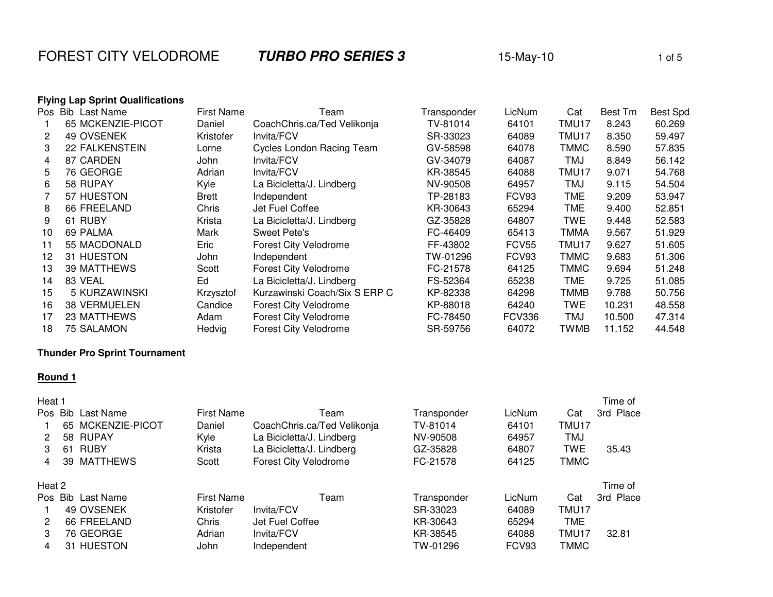**FOREST CITY VELODROME 6 TURBO PRO SERIES 3** 15-May-10 1 1 of 5

|  |  |  |  |  |  | <b>Flying Lap Sprint Qualifications</b> |
|--|--|--|--|--|--|-----------------------------------------|
|--|--|--|--|--|--|-----------------------------------------|

|    | <b>Flying Lap Sprint Qualifications</b> |                   |                                  |             |                   |             |         |                 |
|----|-----------------------------------------|-------------------|----------------------------------|-------------|-------------------|-------------|---------|-----------------|
|    | Pos Bib Last Name                       | <b>First Name</b> | Геаm                             | Transponder | LicNum            | Cat         | Best Tm | <b>Best Spd</b> |
|    | 65 MCKENZIE-PICOT                       | Daniel            | CoachChris.ca/Ted Velikonja      | TV-81014    | 64101             | TMU17       | 8.243   | 60.269          |
| 2  | 49 OVSENEK                              | Kristofer         | Invita/FCV                       | SR-33023    | 64089             | TMU17       | 8.350   | 59.497          |
| 3  | <b>22 FALKENSTEIN</b>                   | Lorne             | <b>Cycles London Racing Team</b> | GV-58598    | 64078             | <b>TMMC</b> | 8.590   | 57.835          |
| 4  | 87 CARDEN                               | John              | Invita/FCV                       | GV-34079    | 64087             | TMJ         | 8.849   | 56.142          |
| 5. | 76 GEORGE                               | Adrian            | Invita/FCV                       | KR-38545    | 64088             | TMU17       | 9.071   | 54.768          |
| 6  | 58 RUPAY                                | Kyle              | La Bicicletta/J. Lindberg        | NV-90508    | 64957             | TMJ         | 9.115   | 54.504          |
|    | 57 HUESTON                              | Brett             | Independent                      | TP-28183    | FCV93             | TME         | 9.209   | 53.947          |
| 8  | 66 FREELAND                             | Chris             | Jet Fuel Coffee                  | KR-30643    | 65294             | TME         | 9.400   | 52.851          |
| 9  | <b>RUBY</b><br>61                       | Krista            | La Bicicletta/J. Lindberg        | GZ-35828    | 64807             | TWE         | 9.448   | 52.583          |
| 10 | 69 PALMA                                | Mark              | Sweet Pete's                     | FC-46409    | 65413             | <b>TMMA</b> | 9.567   | 51.929          |
| 11 | 55 MACDONALD                            | Eric              | <b>Forest City Velodrome</b>     | FF-43802    | FCV <sub>55</sub> | TMU17       | 9.627   | 51.605          |
| 12 | 31 HUESTON                              | John              | Independent                      | TW-01296    | FCV93             | <b>TMMC</b> | 9.683   | 51.306          |
| 13 | 39 MATTHEWS                             | Scott             | <b>Forest City Velodrome</b>     | FC-21578    | 64125             | <b>TMMC</b> | 9.694   | 51.248          |
| 14 | 83 VEAL                                 | Ed                | La Bicicletta/J. Lindberg        | FS-52364    | 65238             | TME         | 9.725   | 51.085          |
| 15 | 5 KURZAWINSKI                           | Krzysztof         | Kurzawinski Coach/Six S ERP C    | KP-82338    | 64298             | TMMB        | 9.788   | 50.756          |
| 16 | <b>38 VERMUELEN</b>                     | Candice           | <b>Forest City Velodrome</b>     | KP-88018    | 64240             | TWE         | 10.231  | 48.558          |
| 17 | 23 MATTHEWS                             | Adam              | <b>Forest City Velodrome</b>     | FC-78450    | <b>FCV336</b>     | <b>TMJ</b>  | 10.500  | 47.314          |
| 18 | <b>75 SALAMON</b>                       | Hedvig            | <b>Forest City Velodrome</b>     | SR-59756    | 64072             | TWMB        | 11.152  | 44.548          |
|    |                                         |                   |                                  |             |                   |             |         |                 |

## **Thunder Pro Sprint Tournament**

### **Round 1**

| Heat 1 |    |                      |                   |                              |             |        |             | Time of   |
|--------|----|----------------------|-------------------|------------------------------|-------------|--------|-------------|-----------|
| Pos.   |    | <b>Bib Last Name</b> | <b>First Name</b> | Team                         | Transponder | LicNum | Cat         | 3rd Place |
|        |    | 65 MCKENZIE-PICOT    | Daniel            | CoachChris.ca/Ted Velikonja  | TV-81014    | 64101  | TMU17       |           |
| 2      |    | 58 RUPAY             | Kyle              | La Bicicletta/J. Lindberg    | NV-90508    | 64957  | <b>TMJ</b>  |           |
| 3      | 61 | <b>RUBY</b>          | Krista            | La Bicicletta/J. Lindberg    | GZ-35828    | 64807  | <b>TWE</b>  | 35.43     |
| 4      | 39 | MATTHEWS             | Scott             | <b>Forest City Velodrome</b> | FC-21578    | 64125  | TMMC        |           |
| Heat 2 |    |                      |                   |                              |             |        |             | Time of   |
|        |    | Pos Bib Last Name    | <b>First Name</b> | Team                         | Transponder | LicNum | Cat         | 3rd Place |
|        |    | 49 OVSENEK           | Kristofer         | Invita/FCV                   | SR-33023    | 64089  | TMU17       |           |
| 2      |    | 66 FREELAND          | Chris             | Jet Fuel Coffee              | KR-30643    | 65294  | <b>TME</b>  |           |
| 3      |    | 76 GEORGE            | Adrian            | Invita/FCV                   | KR-38545    | 64088  | TMU17       | 32.81     |
| 4      |    | 31 HUESTON           | John              | Independent                  | TW-01296    | FCV93  | <b>TMMC</b> |           |
|        |    |                      |                   |                              |             |        |             |           |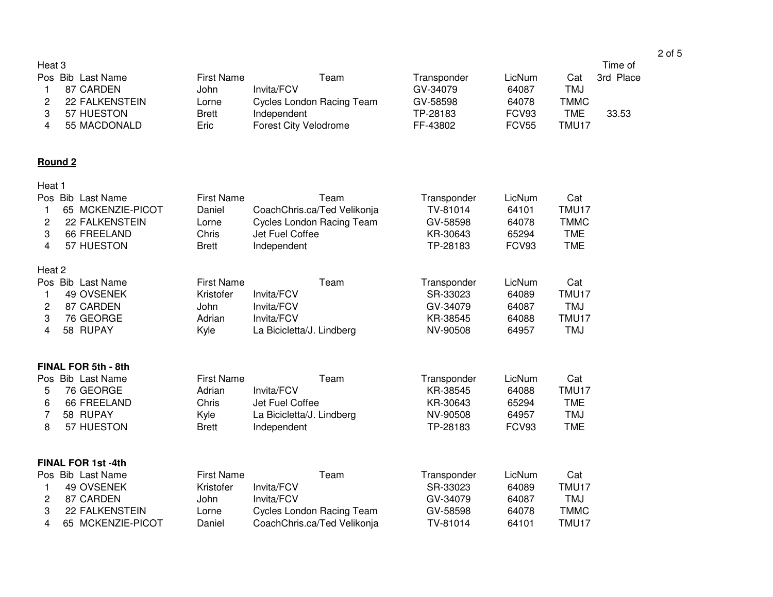#### Time of Pos Bib Last Name First Name Team Transponder LicNum Cat 3rd Place<sup>1</sup> 87 CARDEN John Invita/FCV GV-34079 64087 TMJ**TMMC** 2 22 FALKENSTEIN Lorne Cycles London Racing Team GV-58598 64078<br>3 57 HUESTON Brett Independent TP-28183 FCV93 **TME** 3 57 HUESTON Brett Independent TP-28183 FCV93 TME 33.53

4 55 MACDONALD Eric Forest City Velodrome FF-43802 FCV55 TMU17

# **Round 2**

Heat 3

| Heat 1 |         |                          |                   |                                  |      |             |        |              |
|--------|---------|--------------------------|-------------------|----------------------------------|------|-------------|--------|--------------|
|        | Pos Bib | Last Name                | <b>First Name</b> |                                  | Team | Transponder | LicNum | Cat          |
| 1      | 65      | MCKENZIE-PICOT           | Daniel            | CoachChris.ca/Ted Velikonja      |      | TV-81014    | 64101  | <b>TMU17</b> |
| 2      |         | <b>22 FALKENSTEIN</b>    | Lorne             | Cycles London Racing Team        |      | GV-58598    | 64078  | <b>TMMC</b>  |
| 3      |         | 66 FREELAND              | Chris             | Jet Fuel Coffee                  |      | KR-30643    | 65294  | <b>TME</b>   |
| 4      |         | 57 HUESTON               | <b>Brett</b>      | Independent                      |      | TP-28183    | FCV93  | <b>TME</b>   |
| Heat 2 |         |                          |                   |                                  |      |             |        |              |
|        |         | Pos Bib Last Name        | <b>First Name</b> |                                  | Team | Transponder | LicNum | Cat          |
| 1      |         | 49 OVSENEK               | Kristofer         | Invita/FCV                       |      | SR-33023    | 64089  | TMU17        |
| 2      |         | 87 CARDEN                | John              | Invita/FCV                       |      | GV-34079    | 64087  | <b>TMJ</b>   |
| 3      |         | 76 GEORGE                | Adrian            | Invita/FCV                       |      | KR-38545    | 64088  | TMU17        |
| 4      |         | 58 RUPAY                 | Kyle              | La Bicicletta/J. Lindberg        |      | NV-90508    | 64957  | <b>TMJ</b>   |
|        |         | FINAL FOR 5th - 8th      |                   |                                  |      |             |        |              |
|        |         | Pos Bib Last Name        | <b>First Name</b> |                                  | Team | Transponder | LicNum | Cat          |
| 5      |         | 76 GEORGE                | Adrian            | Invita/FCV                       |      | KR-38545    | 64088  | TMU17        |
| 6      |         | 66 FREELAND              | Chris             | Jet Fuel Coffee                  |      | KR-30643    | 65294  | <b>TME</b>   |
| 7      |         | 58 RUPAY                 | Kyle              | La Bicicletta/J. Lindberg        |      | NV-90508    | 64957  | <b>TMJ</b>   |
| 8      |         | 57 HUESTON               | <b>Brett</b>      | Independent                      |      | TP-28183    | FCV93  | <b>TME</b>   |
|        |         | <b>FINAL FOR 1st-4th</b> |                   |                                  |      |             |        |              |
|        |         | Pos Bib Last Name        | <b>First Name</b> |                                  | Team | Transponder | LicNum | Cat          |
| 1      |         | 49 OVSENEK               | Kristofer         | Invita/FCV                       |      | SR-33023    | 64089  | <b>TMU17</b> |
| 2      |         | 87 CARDEN                | John              | Invita/FCV                       |      | GV-34079    | 64087  | TMJ          |
| 3      |         | <b>22 FALKENSTEIN</b>    | Lorne             | <b>Cycles London Racing Team</b> |      | GV-58598    | 64078  | <b>TMMC</b>  |
| 4      |         | 65 MCKENZIE-PICOT        | Daniel            | CoachChris.ca/Ted Velikonja      |      | TV-81014    | 64101  | TMU17        |
|        |         |                          |                   |                                  |      |             |        |              |

### 2 of 5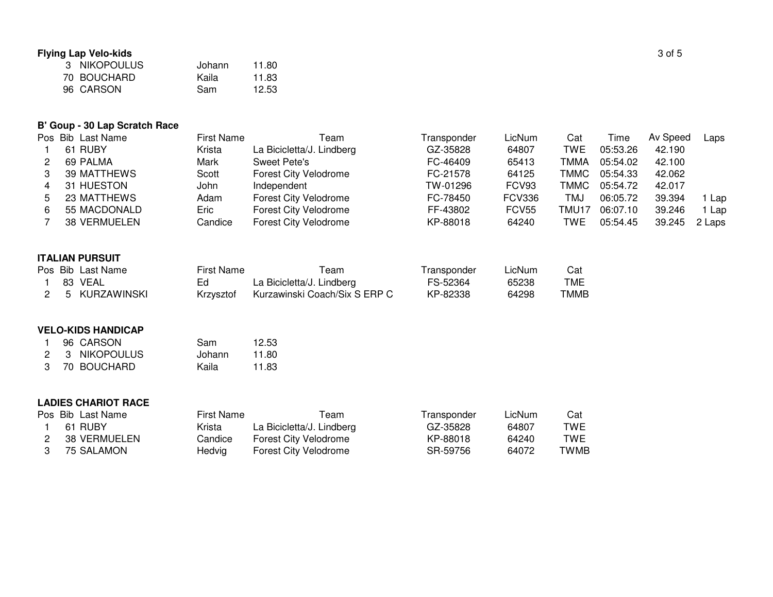## **Flying Lap Velo-kids**

| ng Lap Velo-kids |        |       | 3 of 5 |
|------------------|--------|-------|--------|
| NIKOPOULUS       | Johann | 11.80 |        |
| 70 BOUCHARD      | Kaila  | 11.83 |        |
| 96 CARSON        | Sam    | 12.53 |        |

# **B' Goup - 30 Lap Scratch Race**

|    | Pos Bib Last Name | <b>First Name</b> | Геаm                      | Transponder | LicNum        | Cat        | Time     | Av Speed | Laps   |
|----|-------------------|-------------------|---------------------------|-------------|---------------|------------|----------|----------|--------|
|    | 61 RUBY           | Krista            | La Bicicletta/J. Lindberg | GZ-35828    | 64807         | <b>TWE</b> | 05:53.26 | 42.190   |        |
| 2  | 69 PALMA          | Mark              | Sweet Pete's              | FC-46409    | 65413         | TMMA       | 05:54.02 | 42.100   |        |
|    | 39 MATTHEWS       | Scott             | Forest City Velodrome     | FC-21578    | 64125         | TMMC       | 05:54.33 | 42.062   |        |
| 4  | 31 HUESTON        | John              | Independent               | TW-01296    | FCV93         | TMMC       | 05:54.72 | 42.017   |        |
| 5  | 23 MATTHEWS       | Adam              | Forest City Velodrome     | FC-78450    | <b>FCV336</b> | TMJ        | 06:05.72 | 39.394   | Lap    |
| 6. | 55 MACDONALD      | Eric              | Forest City Velodrome     | FF-43802    | FCV55         | TMU17      | 06:07.10 | 39.246   | Lap    |
|    | 38 VERMUELEN      | Candice           | Forest City Velodrome     | KP-88018    | 64240         | <b>TWE</b> | 05:54.45 | 39.245   | 2 Laps |

### **ITALIAN PURSUIT**

|  | Pos Bib Last Name | First Name | Геаm                          | Transponder | LicNum | Cat  |
|--|-------------------|------------|-------------------------------|-------------|--------|------|
|  | 83 VEAL           | Ed.        | La Bicicletta/J. Lindberg     | FS-52364    | 65238  | TME  |
|  | 2 5 KURZAWINSKI   | Krzysztof  | Kurzawinski Coach/Six S ERP C | KP-82338    | 64298  | TMMB |

#### **VELO-KIDS HANDICAP**

|     | 96 CARSON      | Sam    | 12.53 |
|-----|----------------|--------|-------|
|     | 2 3 NIKOPOULUS | Johann | 11.80 |
| .3. | 70 BOUCHARD    | Kaila  | 11.83 |

### **LADIES CHARIOT RACE**

|  | Pos Bib Last Name | First Name | ⊺eam                      | I ransponder | LicNum | Cat  |
|--|-------------------|------------|---------------------------|--------------|--------|------|
|  | 61 RUBY           | Krista     | La Bicicletta/J. Lindberg | GZ-35828     | 64807  | TWE  |
|  | 38 VERMUELEN      | Candice    | Forest City Velodrome     | KP-88018     | 64240  | TWE  |
|  | 75 SALAMON        | Hedvig     | Forest City Velodrome     | SR-59756     | 64072  | TWMB |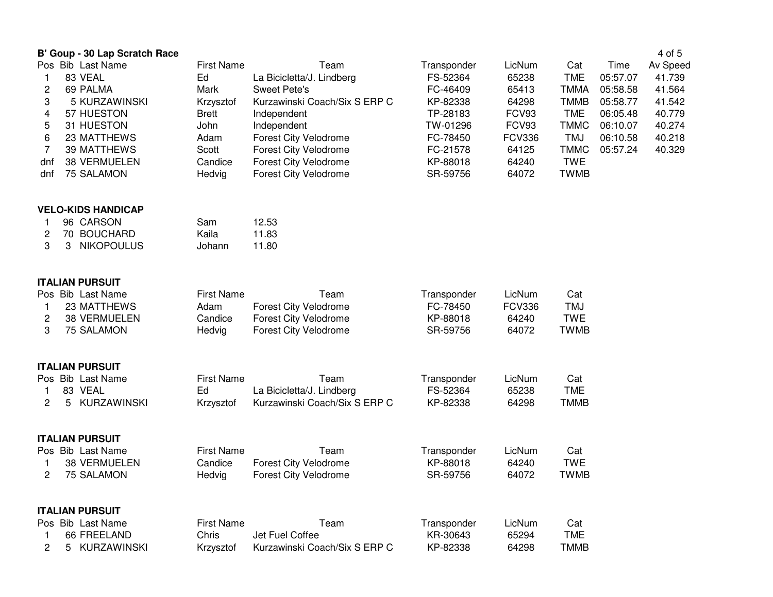|     |   | B' Goup - 30 Lap Scratch Race |                            |                               |             |               |             |          | 4 of 5   |
|-----|---|-------------------------------|----------------------------|-------------------------------|-------------|---------------|-------------|----------|----------|
|     |   | Pos Bib Last Name             | <b>First Name</b>          | Team                          | Transponder | LicNum        | Cat         | Time     | Av Speed |
| 1   |   | 83 VEAL                       | Ed                         | La Bicicletta/J. Lindberg     | FS-52364    | 65238         | <b>TME</b>  | 05:57.07 | 41.739   |
| 2   |   | 69 PALMA                      | Mark                       | <b>Sweet Pete's</b>           | FC-46409    | 65413         | <b>TMMA</b> | 05:58.58 | 41.564   |
| 3   |   | 5 KURZAWINSKI                 | Krzysztof                  | Kurzawinski Coach/Six S ERP C | KP-82338    | 64298         | <b>TMMB</b> | 05:58.77 | 41.542   |
| 4   |   | 57 HUESTON                    | Brett                      | Independent                   | TP-28183    | FCV93         | <b>TME</b>  | 06:05.48 | 40.779   |
| 5   |   | 31 HUESTON                    | John                       | Independent                   | TW-01296    | FCV93         | <b>TMMC</b> | 06:10.07 | 40.274   |
| 6   |   | 23 MATTHEWS                   | Adam                       | <b>Forest City Velodrome</b>  | FC-78450    | <b>FCV336</b> | <b>TMJ</b>  | 06:10.58 | 40.218   |
| 7   |   | 39 MATTHEWS                   | Scott                      | <b>Forest City Velodrome</b>  | FC-21578    | 64125         | <b>TMMC</b> | 05:57.24 | 40.329   |
| dnf |   | 38 VERMUELEN                  | Candice                    | Forest City Velodrome         | KP-88018    | 64240         | <b>TWE</b>  |          |          |
| dnf |   | 75 SALAMON                    | Hedvig                     | <b>Forest City Velodrome</b>  | SR-59756    | 64072         | <b>TWMB</b> |          |          |
|     |   | <b>VELO-KIDS HANDICAP</b>     |                            |                               |             |               |             |          |          |
| 1   |   | 96 CARSON                     | Sam                        | 12.53                         |             |               |             |          |          |
| 2   |   | 70 BOUCHARD                   | Kaila                      | 11.83                         |             |               |             |          |          |
| 3   | 3 | <b>NIKOPOULUS</b>             | Johann                     | 11.80                         |             |               |             |          |          |
|     |   | <b>ITALIAN PURSUIT</b>        |                            |                               |             |               |             |          |          |
|     |   | Pos Bib Last Name             | <b>First Name</b>          | Team                          | Transponder | LicNum        | Cat         |          |          |
| 1.  |   | 23 MATTHEWS                   | Adam                       | <b>Forest City Velodrome</b>  | FC-78450    | <b>FCV336</b> | <b>TMJ</b>  |          |          |
| 2   |   | 38 VERMUELEN                  | Candice                    | <b>Forest City Velodrome</b>  | KP-88018    | 64240         | <b>TWE</b>  |          |          |
| 3   |   | 75 SALAMON                    | Hedvig                     | Forest City Velodrome         | SR-59756    | 64072         | <b>TWMB</b> |          |          |
|     |   | <b>ITALIAN PURSUIT</b>        |                            |                               |             |               |             |          |          |
|     |   | Pos Bib Last Name             | <b>First Name</b>          | Team                          | Transponder | LicNum        | Cat         |          |          |
| 1   |   | 83 VEAL                       | Ed                         | La Bicicletta/J. Lindberg     | FS-52364    | 65238         | <b>TME</b>  |          |          |
| 2   | 5 | <b>KURZAWINSKI</b>            | Krzysztof                  | Kurzawinski Coach/Six S ERP C | KP-82338    | 64298         | <b>TMMB</b> |          |          |
|     |   | <b>ITALIAN PURSUIT</b>        |                            |                               |             |               |             |          |          |
|     |   | Pos Bib Last Name             | <b>First Name</b>          | Team                          | Transponder | LicNum        | Cat         |          |          |
| 1   |   | 38 VERMUELEN                  | Candice                    | <b>Forest City Velodrome</b>  | KP-88018    | 64240         | <b>TWE</b>  |          |          |
| 2   |   | <b>75 SALAMON</b>             | Hedvig                     | <b>Forest City Velodrome</b>  | SR-59756    | 64072         | <b>TWMB</b> |          |          |
|     |   |                               |                            |                               |             |               |             |          |          |
|     |   | <b>ITALIAN PURSUIT</b>        |                            |                               |             |               |             |          |          |
|     |   | Pos Bib Last Name             | <b>First Name</b><br>Chris | Team                          | Transponder | LicNum        | Cat         |          |          |
| 1   |   | 66 FREELAND                   |                            | Jet Fuel Coffee               | KR-30643    | 65294         | <b>TME</b>  |          |          |
| 2   | 5 | KURZAWINSKI                   | Krzysztof                  | Kurzawinski Coach/Six S ERP C | KP-82338    | 64298         | <b>TMMB</b> |          |          |